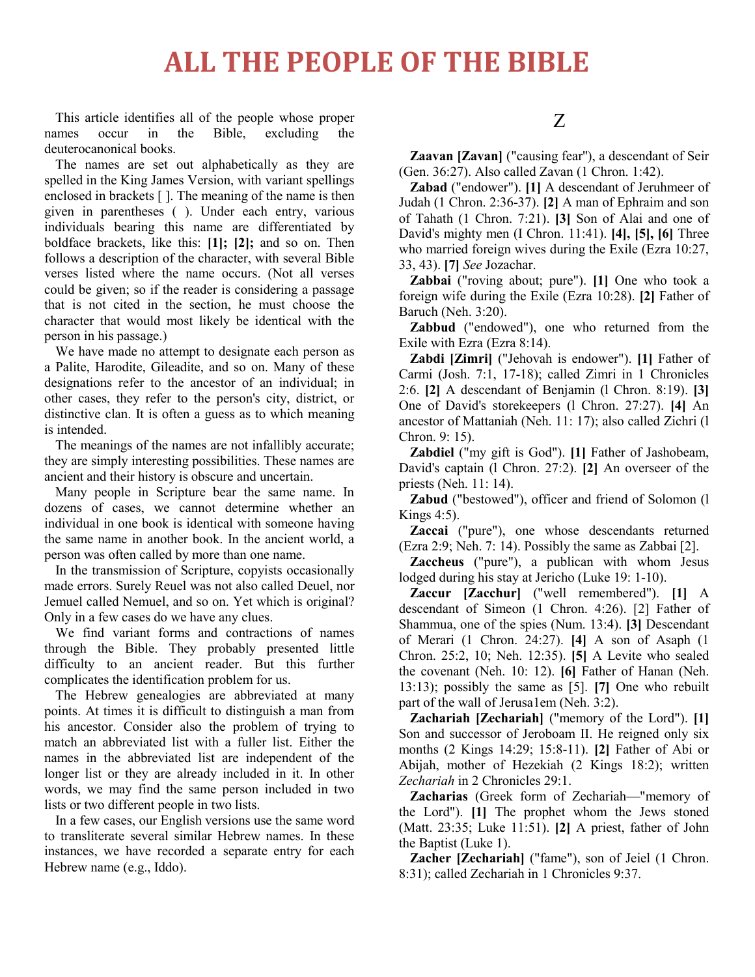## **ALL THE PEOPLE OF THE BIBLE**

This article identifies all of the people whose proper names occur in the Bible, excluding the deuterocanonical books.

The names are set out alphabetically as they are spelled in the King James Version, with variant spellings enclosed in brackets [ ]. The meaning of the name is then given in parentheses ( ). Under each entry, various individuals bearing this name are differentiated by boldface brackets, like this: **[1]; [2];** and so on. Then follows a description of the character, with several Bible verses listed where the name occurs. (Not all verses could be given; so if the reader is considering a passage that is not cited in the section, he must choose the character that would most likely be identical with the person in his passage.)

We have made no attempt to designate each person as a Palite, Harodite, Gileadite, and so on. Many of these designations refer to the ancestor of an individual; in other cases, they refer to the person's city, district, or distinctive clan. It is often a guess as to which meaning is intended.

The meanings of the names are not infallibly accurate; they are simply interesting possibilities. These names are ancient and their history is obscure and uncertain.

Many people in Scripture bear the same name. In dozens of cases, we cannot determine whether an individual in one book is identical with someone having the same name in another book. In the ancient world, a person was often called by more than one name.

In the transmission of Scripture, copyists occasionally made errors. Surely Reuel was not also called Deuel, nor Jemuel called Nemuel, and so on. Yet which is original? Only in a few cases do we have any clues.

We find variant forms and contractions of names through the Bible. They probably presented little difficulty to an ancient reader. But this further complicates the identification problem for us.

The Hebrew genealogies are abbreviated at many points. At times it is difficult to distinguish a man from his ancestor. Consider also the problem of trying to match an abbreviated list with a fuller list. Either the names in the abbreviated list are independent of the longer list or they are already included in it. In other words, we may find the same person included in two lists or two different people in two lists.

In a few cases, our English versions use the same word to transliterate several similar Hebrew names. In these instances, we have recorded a separate entry for each Hebrew name (e.g., Iddo).

#### Z

**Zaavan [Zavan]** ("causing fear''), a descendant of Seir (Gen. 36:27). Also called Zavan (1 Chron. 1:42).

**Zabad** ("endower"). **[1]** A descendant of Jeruhmeer of Judah (1 Chron. 2:36-37). **[2]** A man of Ephraim and son of Tahath (1 Chron. 7:21). **[3]** Son of Alai and one of David's mighty men (I Chron. 11:41). **[4], [5], [6]** Three who married foreign wives during the Exile (Ezra 10:27, 33, 43). **[7]** *See* Jozachar.

**Zabbai** ("roving about; pure"). **[1]** One who took a foreign wife during the Exile (Ezra 10:28). **[2]** Father of Baruch (Neh. 3:20).

**Zabbud** ("endowed"), one who returned from the Exile with Ezra (Ezra 8:14).

**Zabdi [Zimri]** ("Jehovah is endower"). **[1]** Father of Carmi (Josh. 7:1, 17-18); called Zimri in 1 Chronicles 2:6. **[2]** A descendant of Benjamin (l Chron. 8:19). **[3]** One of David's storekeepers (l Chron. 27:27). **[4]** An ancestor of Mattaniah (Neh. 11: 17); also called Zichri (l Chron. 9: 15).

**Zabdiel** ("my gift is God"). **[1]** Father of Jashobeam, David's captain (l Chron. 27:2). **[2]** An overseer of the priests (Neh. 11: 14).

**Zabud** ("bestowed"), officer and friend of Solomon (l Kings 4:5).

**Zaccai** ("pure"), one whose descendants returned (Ezra 2:9; Neh. 7: 14). Possibly the same as Zabbai [2].

**Zaccheus** ("pure"), a publican with whom Jesus lodged during his stay at Jericho (Luke 19: 1-10).

**Zaccur [Zacchur]** ("well remembered"). **[1]** A descendant of Simeon (1 Chron. 4:26). [2] Father of Shammua, one of the spies (Num. 13:4). **[3]** Descendant of Merari (1 Chron. 24:27). **[4]** A son of Asaph (1 Chron. 25:2, 10; Neh. 12:35). **[5]** A Levite who sealed the covenant (Neh. 10: 12). **[6]** Father of Hanan (Neh. 13:13); possibly the same as [5]. **[7]** One who rebuilt part of the wall of Jerusa1em (Neh. 3:2).

**Zachariah [Zechariah]** ("memory of the Lord"). **[1]** Son and successor of Jeroboam II. He reigned only six months (2 Kings 14:29; 15:8-11). **[2]** Father of Abi or Abijah, mother of Hezekiah (2 Kings 18:2); written *Zechariah* in 2 Chronicles 29:1.

**Zacharias** (Greek form of Zechariah—"memory of the Lord"). **[1]** The prophet whom the Jews stoned (Matt. 23:35; Luke 11:51). **[2]** A priest, father of John the Baptist (Luke 1).

**Zacher [Zechariah]** ("fame"), son of Jeiel (1 Chron. 8:31); called Zechariah in 1 Chronicles 9:37.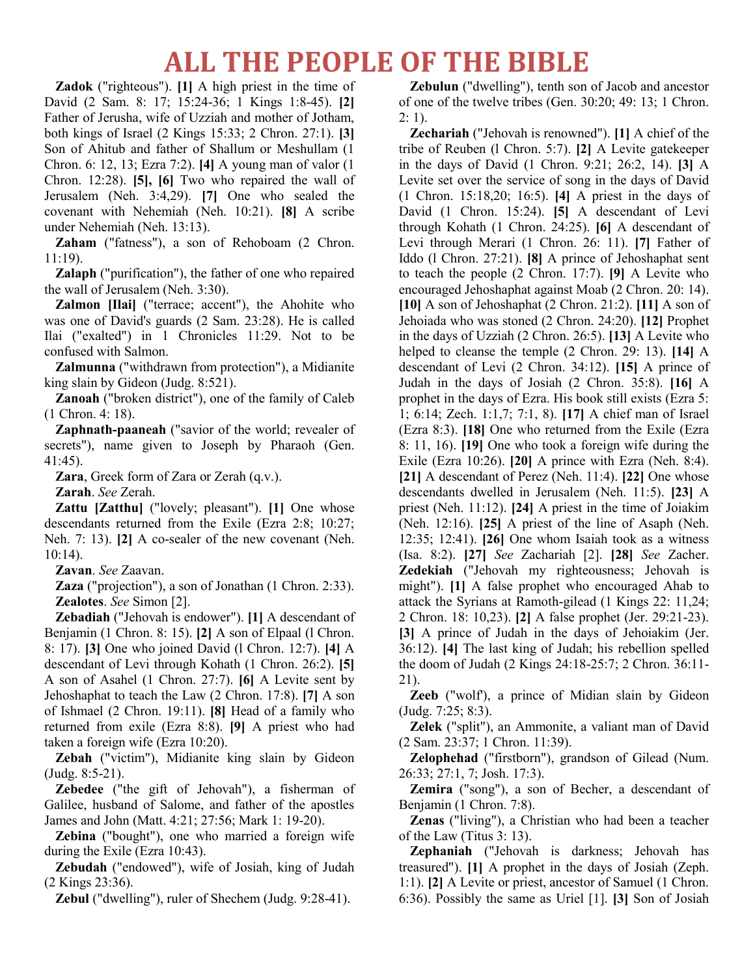### **ALL THE PEOPLE OF THE BIBLE**

**Zadok** ("righteous"). **[1]** A high priest in the time of David (2 Sam. 8: 17; 15:24-36; 1 Kings 1:8-45). **[2]** Father of Jerusha, wife of Uzziah and mother of Jotham, both kings of Israel (2 Kings 15:33; 2 Chron. 27:1). **[3]** Son of Ahitub and father of Shallum or Meshullam (1 Chron. 6: 12, 13; Ezra 7:2). **[4]** A young man of valor (1 Chron. 12:28). **[5], [6]** Two who repaired the wall of Jerusalem (Neh. 3:4,29). **[7]** One who sealed the covenant with Nehemiah (Neh. 10:21). **[8]** A scribe under Nehemiah (Neh. 13:13).

**Zaham** ("fatness"), a son of Rehoboam (2 Chron. 11:19).

**Zalaph** ("purification"), the father of one who repaired the wall of Jerusalem (Neh. 3:30).

**Zalmon [Ilai]** ("terrace; accent"), the Ahohite who was one of David's guards (2 Sam. 23:28). He is called Ilai ("exalted") in 1 Chronicles 11:29. Not to be confused with Salmon.

**Zalmunna** ("withdrawn from protection"), a Midianite king slain by Gideon (Judg. 8:521).

**Zanoah** ("broken district"), one of the family of Caleb (1 Chron. 4: 18).

**Zaphnath-paaneah** ("savior of the world; revealer of secrets"), name given to Joseph by Pharaoh (Gen. 41:45).

**Zara**, Greek form of Zara or Zerah (q.v.). **Zarah**. *See* Zerah.

**Zattu [Zatthu]** ("lovely; pleasant"). **[1]** One whose descendants returned from the Exile (Ezra 2:8; 10:27; Neh. 7: 13). **[2]** A co-sealer of the new covenant (Neh. 10:14).

**Zavan**. *See* Zaavan.

**Zaza** ("projection"), a son of Jonathan (1 Chron. 2:33). **Zealotes**. *See* Simon [2].

**Zebadiah** ("Jehovah is endower"). **[1]** A descendant of Benjamin (1 Chron. 8: 15). **[2]** A son of Elpaal (l Chron. 8: 17). **[3]** One who joined David (l Chron. 12:7). **[4]** A descendant of Levi through Kohath (1 Chron. 26:2). **[5]** A son of Asahel (1 Chron. 27:7). **[6]** A Levite sent by Jehoshaphat to teach the Law (2 Chron. 17:8). **[7]** A son of Ishmael (2 Chron. 19:11). **[8]** Head of a family who returned from exile (Ezra 8:8). **[9]** A priest who had taken a foreign wife (Ezra 10:20).

**Zebah** ("victim"), Midianite king slain by Gideon (Judg. 8:5-21).

**Zebedee** ("the gift of Jehovah"), a fisherman of Galilee, husband of Salome, and father of the apostles James and John (Matt. 4:21; 27:56; Mark 1: 19-20).

**Zebina** ("bought"), one who married a foreign wife during the Exile (Ezra 10:43).

**Zebudah** ("endowed"), wife of Josiah, king of Judah (2 Kings 23:36).

**Zebul** ("dwelling"), ruler of Shechem (Judg. 9:28-41).

**Zebulun** ("dwelling"), tenth son of Jacob and ancestor of one of the twelve tribes (Gen. 30:20; 49: 13; 1 Chron.  $2:1$ ).

**Zechariah** ("Jehovah is renowned"). **[1]** A chief of the tribe of Reuben (l Chron. 5:7). **[2]** A Levite gatekeeper in the days of David (1 Chron. 9:21; 26:2, 14). **[3]** A Levite set over the service of song in the days of David (1 Chron. 15:18,20; 16:5). **[4]** A priest in the days of David (1 Chron. 15:24). **[5]** A descendant of Levi through Kohath (1 Chron. 24:25). **[6]** A descendant of Levi through Merari (1 Chron. 26: 11). **[7]** Father of Iddo (l Chron. 27:21). **[8]** A prince of Jehoshaphat sent to teach the people (2 Chron. 17:7). **[9]** A Levite who encouraged Jehoshaphat against Moab (2 Chron. 20: 14). **[10]** A son of Jehoshaphat (2 Chron. 21:2). **[11]** A son of Jehoiada who was stoned (2 Chron. 24:20). **[12]** Prophet in the days of Uzziah (2 Chron. 26:5). **[13]** A Levite who helped to cleanse the temple (2 Chron. 29: 13). **[14]** A descendant of Levi (2 Chron. 34:12). **[15]** A prince of Judah in the days of Josiah (2 Chron. 35:8). **[16]** A prophet in the days of Ezra. His book still exists (Ezra 5: 1; 6:14; Zech. 1:1,7; 7:1, 8). **[17]** A chief man of Israel (Ezra 8:3). **[18]** One who returned from the Exile (Ezra 8: 11, 16). **[19]** One who took a foreign wife during the Exile (Ezra 10:26). **[20]** A prince with Ezra (Neh. 8:4). **[21]** A descendant of Perez (Neh. 11:4). **[22]** One whose descendants dwelled in Jerusalem (Neh. 11:5). **[23]** A priest (Neh. 11:12). **[24]** A priest in the time of Joiakim (Neh. 12:16). **[25]** A priest of the line of Asaph (Neh. 12:35; 12:41). **[26]** One whom Isaiah took as a witness (Isa. 8:2). **[27]** *See* Zachariah [2]. **[28]** *See* Zacher. **Zedekiah** ("Jehovah my righteousness; Jehovah is might"). **[1]** A false prophet who encouraged Ahab to attack the Syrians at Ramoth-gilead (1 Kings 22: 11,24; 2 Chron. 18: 10,23). **[2]** A false prophet (Jer. 29:21-23). **[3]** A prince of Judah in the days of Jehoiakim (Jer. 36:12). **[4]** The last king of Judah; his rebellion spelled the doom of Judah (2 Kings 24:18-25:7; 2 Chron. 36:11- 21).

**Zeeb** ("wolf'), a prince of Midian slain by Gideon (Judg. 7:25; 8:3).

**Zelek** ("split"), an Ammonite, a valiant man of David (2 Sam. 23:37; 1 Chron. 11:39).

**Zelophehad** ("firstborn"), grandson of Gilead (Num. 26:33; 27:1, 7; Josh. 17:3).

**Zemira** ("song"), a son of Becher, a descendant of Benjamin (1 Chron. 7:8).

**Zenas** ("living"), a Christian who had been a teacher of the Law (Titus 3: 13).

**Zephaniah** ("Jehovah is darkness; Jehovah has treasured"). **[1]** A prophet in the days of Josiah (Zeph. 1:1). **[2]** A Levite or priest, ancestor of Samuel (1 Chron. 6:36). Possibly the same as Uriel [1]. **[3]** Son of Josiah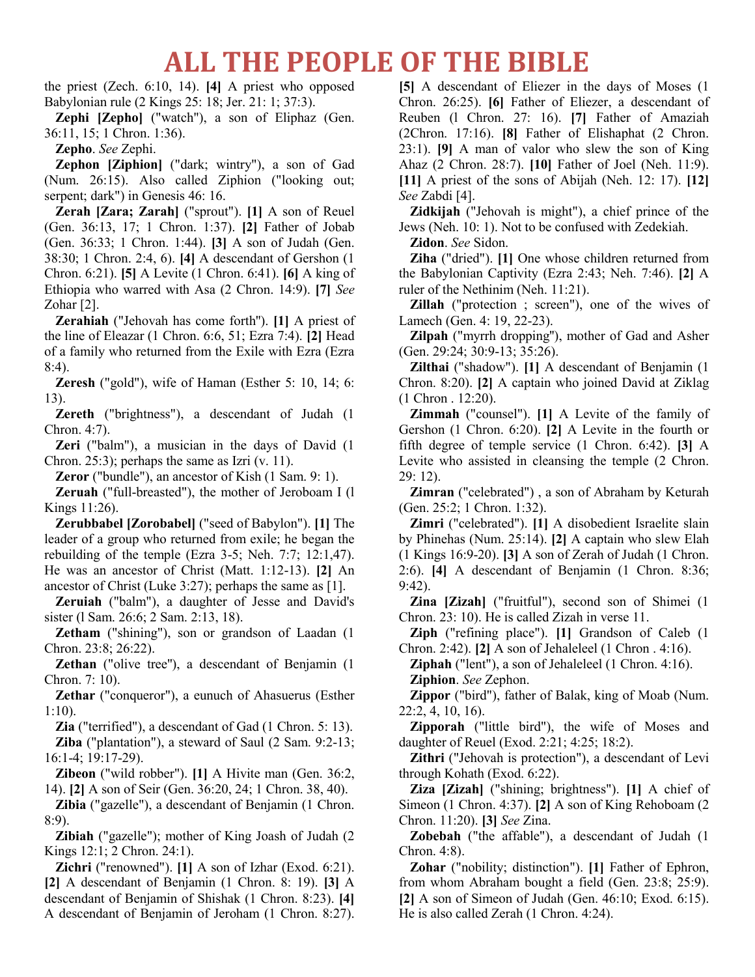### **ALL THE PEOPLE OF THE BIBLE**

the priest (Zech. 6:10, 14). **[4]** A priest who opposed Babylonian rule (2 Kings 25: 18; Jer. 21: 1; 37:3).

**Zephi [Zepho]** ("watch"), a son of Eliphaz (Gen. 36:11, 15; 1 Chron. 1:36).

**Zepho**. *See* Zephi.

**Zephon [Ziphion]** ("dark; wintry"), a son of Gad (Num. 26:15). Also called Ziphion ("looking out; serpent; dark") in Genesis 46: 16.

**Zerah [Zara; Zarah]** ("sprout"). **[1]** A son of Reuel (Gen. 36:13, 17; 1 Chron. 1:37). **[2]** Father of Jobab (Gen. 36:33; 1 Chron. 1:44). **[3]** A son of Judah (Gen. 38:30; 1 Chron. 2:4, 6). **[4]** A descendant of Gershon (1 Chron. 6:21). **[5]** A Levite (1 Chron. 6:41). **[6]** A king of Ethiopia who warred with Asa (2 Chron. 14:9). **[7]** *See* Zohar [2].

**Zerahiah** ("Jehovah has come forth''). **[1]** A priest of the line of Eleazar (1 Chron. 6:6, 51; Ezra 7:4). **[2]** Head of a family who returned from the Exile with Ezra (Ezra 8:4).

**Zeresh** ("gold"), wife of Haman (Esther 5: 10, 14; 6: 13).

**Zereth** ("brightness"), a descendant of Judah (1 Chron. 4:7).

**Zeri** ("balm"), a musician in the days of David (1 Chron. 25:3); perhaps the same as Izri  $(v. 11)$ .

**Zeror** ("bundle"), an ancestor of Kish (1 Sam. 9: 1).

**Zeruah** ("full-breasted"), the mother of Jeroboam I (l Kings 11:26).

**Zerubbabel [Zorobabel]** ("seed of Babylon"). **[1]** The leader of a group who returned from exile; he began the rebuilding of the temple (Ezra 3-5; Neh. 7:7; 12:1,47). He was an ancestor of Christ (Matt. 1:12-13). **[2]** An ancestor of Christ (Luke 3:27); perhaps the same as [1].

**Zeruiah** ("balm"), a daughter of Jesse and David's sister (l Sam. 26:6; 2 Sam. 2:13, 18).

**Zetham** ("shining"), son or grandson of Laadan (1 Chron. 23:8; 26:22).

**Zethan** ("olive tree''), a descendant of Benjamin (1 Chron. 7: 10).

**Zethar** ("conqueror"), a eunuch of Ahasuerus (Esther 1:10).

**Zia** ("terrified"), a descendant of Gad (1 Chron. 5: 13). **Ziba** ("plantation"), a steward of Saul (2 Sam. 9:2-13; 16:1-4; 19:17-29).

**Zibeon** ("wild robber"). **[1]** A Hivite man (Gen. 36:2, 14). **[2]** A son of Seir (Gen. 36:20, 24; 1 Chron. 38, 40).

**Zibia** ("gazelle"), a descendant of Benjamin (1 Chron. 8:9).

**Zibiah** ("gazelle"); mother of King Joash of Judah (2 Kings 12:1; 2 Chron. 24:1).

**Zichri** ("renowned"). **[1]** A son of Izhar (Exod. 6:21). **[2]** A descendant of Benjamin (1 Chron. 8: 19). **[3]** A descendant of Benjamin of Shishak (1 Chron. 8:23). **[4]** A descendant of Benjamin of Jeroham (1 Chron. 8:27).

**[5]** A descendant of Eliezer in the days of Moses (1 Chron. 26:25). **[6]** Father of Eliezer, a descendant of Reuben (l Chron. 27: 16). **[7]** Father of Amaziah (2Chron. 17:16). **[8]** Father of Elishaphat (2 Chron. 23:1). **[9]** A man of valor who slew the son of King Ahaz (2 Chron. 28:7). **[10]** Father of Joel (Neh. 11:9). **[11]** A priest of the sons of Abijah (Neh. 12: 17). **[12]** *See* Zabdi [4].

**Zidkijah** ("Jehovah is might"), a chief prince of the Jews (Neh. 10: 1). Not to be confused with Zedekiah.

**Zidon**. *See* Sidon.

**Ziha** ("dried"). **[1]** One whose children returned from the Babylonian Captivity (Ezra 2:43; Neh. 7:46). **[2]** A ruler of the Nethinim (Neh. 11:21).

**Zillah** ("protection ; screen"), one of the wives of Lamech (Gen. 4: 19, 22-23).

**Zilpah** ("myrrh dropping''), mother of Gad and Asher (Gen. 29:24; 30:9-13; 35:26).

**Zilthai** ("shadow"). **[1]** A descendant of Benjamin (1 Chron. 8:20). **[2]** A captain who joined David at Ziklag (1 Chron . 12:20).

**Zimmah** ("counsel"). **[1]** A Levite of the family of Gershon (1 Chron. 6:20). **[2]** A Levite in the fourth or fifth degree of temple service (1 Chron. 6:42). **[3]** A Levite who assisted in cleansing the temple (2 Chron. 29: 12).

**Zimran** ("celebrated") , a son of Abraham by Keturah (Gen. 25:2; 1 Chron. 1:32).

**Zimri** ("celebrated"). **[1]** A disobedient Israelite slain by Phinehas (Num. 25:14). **[2]** A captain who slew Elah (1 Kings 16:9-20). **[3]** A son of Zerah of Judah (1 Chron. 2:6). **[4]** A descendant of Benjamin (1 Chron. 8:36; 9:42).

**Zina [Zizah]** ("fruitful"), second son of Shimei (1 Chron. 23: 10). He is called Zizah in verse 11.

**Ziph** ("refining place"). **[1]** Grandson of Caleb (1 Chron. 2:42). **[2]** A son of Jehaleleel (1 Chron . 4:16).

**Ziphah** ("lent"), a son of Jehaleleel (1 Chron. 4:16). **Ziphion**. *See* Zephon.

**Zippor** ("bird"), father of Balak, king of Moab (Num. 22:2, 4, 10, 16).

**Zipporah** ("little bird"), the wife of Moses and daughter of Reuel (Exod. 2:21; 4:25; 18:2).

**Zithri** ("Jehovah is protection"), a descendant of Levi through Kohath (Exod. 6:22).

**Ziza [Zizah]** ("shining; brightness"). **[1]** A chief of Simeon (1 Chron. 4:37). **[2]** A son of King Rehoboam (2 Chron. 11:20). **[3]** *See* Zina.

**Zobebah** ("the affable"), a descendant of Judah (1 Chron. 4:8).

**Zohar** ("nobility; distinction"). **[1]** Father of Ephron, from whom Abraham bought a field (Gen. 23:8; 25:9). **[2]** A son of Simeon of Judah (Gen. 46:10; Exod. 6:15). He is also called Zerah (1 Chron. 4:24).